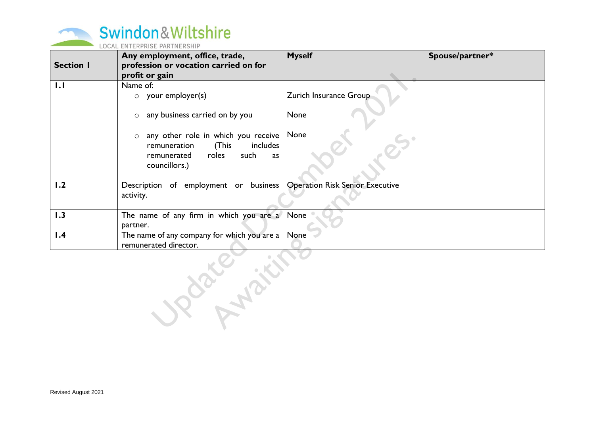

| <b>Section I</b> | Any employment, office, trade,<br>profession or vocation carried on for                                                                    | <b>Myself</b>                          | Spouse/partner* |
|------------------|--------------------------------------------------------------------------------------------------------------------------------------------|----------------------------------------|-----------------|
|                  | profit or gain                                                                                                                             |                                        |                 |
| 1.1              | Name of:                                                                                                                                   |                                        |                 |
|                  | $\circ$ your employer(s)                                                                                                                   | Zurich Insurance Group                 |                 |
|                  | any business carried on by you<br>$\circ$                                                                                                  | None                                   |                 |
|                  | any other role in which you receive<br>$\circ$<br>includes<br>remuneration<br>(This<br>roles<br>such<br>remunerated<br>as<br>councillors.) | None                                   |                 |
| 1.2              | Description of employment or business<br>activity.                                                                                         | <b>Operation Risk Senior Executive</b> |                 |
| 1.3              | The name of any firm in which you are a<br>partner.                                                                                        | None                                   |                 |
| $\mathsf{I}$ .4  | The name of any company for which you are a                                                                                                | None                                   |                 |
|                  | remunerated director.                                                                                                                      |                                        |                 |
|                  |                                                                                                                                            |                                        |                 |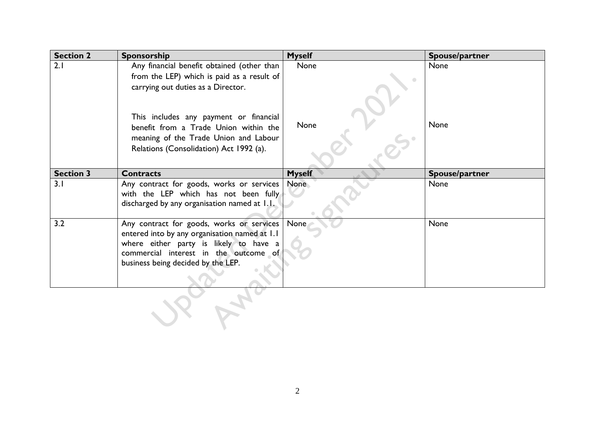| <b>Section 2</b> | Sponsorship                                                                                                                                                                                                                                                                                           | <b>Myself</b> | Spouse/partner |
|------------------|-------------------------------------------------------------------------------------------------------------------------------------------------------------------------------------------------------------------------------------------------------------------------------------------------------|---------------|----------------|
| 2.1              | Any financial benefit obtained (other than<br>from the LEP) which is paid as a result of<br>carrying out duties as a Director.<br>This includes any payment or financial<br>benefit from a Trade Union within the<br>meaning of the Trade Union and Labour<br>Relations (Consolidation) Act 1992 (a). | None<br>None  | None<br>None   |
|                  |                                                                                                                                                                                                                                                                                                       |               |                |
| <b>Section 3</b> | <b>Contracts</b>                                                                                                                                                                                                                                                                                      | <b>Myself</b> | Spouse/partner |
| 3.1              | Any contract for goods, works or services<br>with the LEP which has not been fully<br>discharged by any organisation named at 1.1.                                                                                                                                                                    | None          | None           |
| 3.2              | Any contract for goods, works or services<br>entered into by any organisation named at 1.1<br>where either party is likely to have a<br>commercial interest in the outcome of<br>business being decided by the LEP.                                                                                   | None          | None           |
|                  |                                                                                                                                                                                                                                                                                                       |               |                |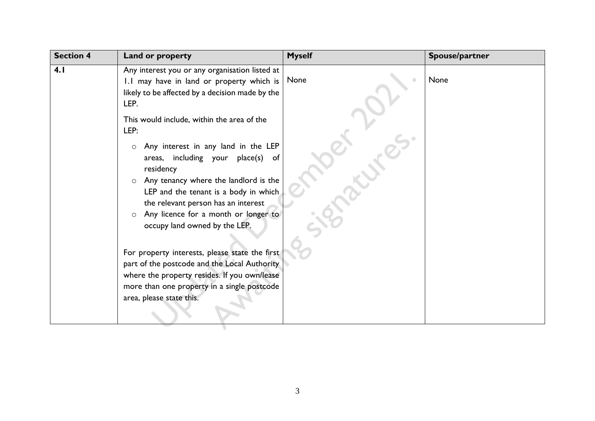| <b>Section 4</b> | Land or property                                                                                                                                                                                                                                                                                                                                                                                                                                                                                                                                                                                            | <b>Myself</b> | Spouse/partner |
|------------------|-------------------------------------------------------------------------------------------------------------------------------------------------------------------------------------------------------------------------------------------------------------------------------------------------------------------------------------------------------------------------------------------------------------------------------------------------------------------------------------------------------------------------------------------------------------------------------------------------------------|---------------|----------------|
| 4.1              | Any interest you or any organisation listed at<br>1.1 may have in land or property which is<br>likely to be affected by a decision made by the<br>LEP.                                                                                                                                                                                                                                                                                                                                                                                                                                                      | None          | None           |
|                  | This would include, within the area of the<br>LEP:<br>Any interest in any land in the LEP<br>$\circ$<br>areas, including your place(s) of<br>residency<br>Any tenancy where the landlord is the<br>$\circ$<br>LEP and the tenant is a body in which<br>the relevant person has an interest<br>Any licence for a month or longer to<br>$\circ$<br>occupy land owned by the LEP.<br>For property interests, please state the first<br>part of the postcode and the Local Authority<br>where the property resides. If you own/lease<br>more than one property in a single postcode<br>area, please state this. |               |                |
|                  |                                                                                                                                                                                                                                                                                                                                                                                                                                                                                                                                                                                                             |               |                |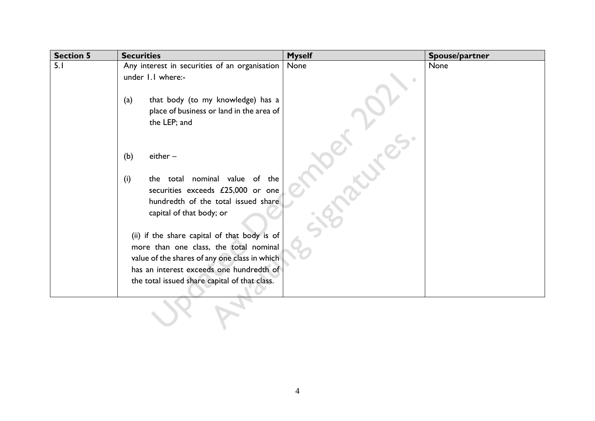| <b>Section 5</b> | <b>Securities</b>                                                                                                                                                                                                                    | <b>Myself</b> | Spouse/partner |
|------------------|--------------------------------------------------------------------------------------------------------------------------------------------------------------------------------------------------------------------------------------|---------------|----------------|
| 5.1              | Any interest in securities of an organisation<br>under 1.1 where:-                                                                                                                                                                   | None          | None           |
|                  | that body (to my knowledge) has a<br>(a)<br>place of business or land in the area of<br>the LEP; and                                                                                                                                 |               |                |
|                  | (b)<br>$either -$                                                                                                                                                                                                                    |               |                |
|                  | the total nominal value of<br>(i)<br>the<br>securities exceeds £25,000 or one<br>hundredth of the total issued share<br>capital of that body; or                                                                                     |               |                |
|                  | (ii) if the share capital of that body is of<br>more than one class, the total nominal<br>value of the shares of any one class in which<br>has an interest exceeds one hundredth of<br>the total issued share capital of that class. |               |                |
|                  |                                                                                                                                                                                                                                      |               |                |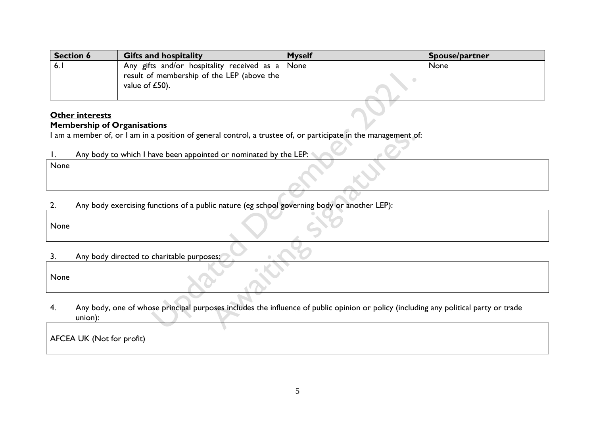| <b>Section 6</b> |                                                              | <b>Gifts and hospitality</b>                                                                                                         | <b>Myself</b> | Spouse/partner |
|------------------|--------------------------------------------------------------|--------------------------------------------------------------------------------------------------------------------------------------|---------------|----------------|
| 6.1              |                                                              | Any gifts and/or hospitality received as a<br>result of membership of the LEP (above the<br>value of £50).                           | None          | None           |
|                  | <b>Other interests</b><br><b>Membership of Organisations</b> | I am a member of, or I am in a position of general control, a trustee of, or participate in the management of:                       |               |                |
| $\mathsf{I}$ .   |                                                              | Any body to which I have been appointed or nominated by the LEP:                                                                     |               |                |
| None             |                                                              |                                                                                                                                      |               |                |
|                  |                                                              |                                                                                                                                      |               |                |
| 2.               |                                                              | Any body exercising functions of a public nature (eg school governing body or another LEP):                                          |               |                |
| None             |                                                              |                                                                                                                                      |               |                |
| 3.               |                                                              | Any body directed to charitable purposes:                                                                                            |               |                |
| None             |                                                              |                                                                                                                                      |               |                |
| 4.               | union):                                                      | Any body, one of whose principal purposes includes the influence of public opinion or policy (including any political party or trade |               |                |

#### **Other interests Membership of Organisations**

|  |  |  |  |  | Any body to which I have been appointed or nominated by the LEP: |  |
|--|--|--|--|--|------------------------------------------------------------------|--|
|--|--|--|--|--|------------------------------------------------------------------|--|

None

# 2. Any body exercising functions of a public nature (eg school governing body or another LEP):

None

### 3. Any body directed to charitable purposes:

None

AFCEA UK (Not for profit)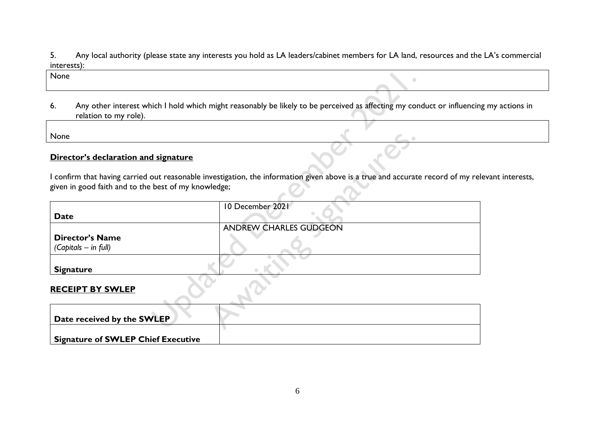5. Any local authority (please state any interests you hold as LA leaders/cabinet members for LA land, resources and the LA's commercial interests):

None

6. Any other interest which I hold which might reasonably be likely to be perceived as affecting my conduct or influencing my actions in relation to my role).

None

## **Director's declaration and signature**

I confirm that having carried out reasonable investigation, the information given above is a true and accurate record of my relevant interests, given in good faith and to the best of my knowledge;

| None        |                                                      |                                                                                                                                |
|-------------|------------------------------------------------------|--------------------------------------------------------------------------------------------------------------------------------|
| 6.          | relation to my role).                                | Any other interest which I hold which might reasonably be likely to be perceived as affecting my conduct or influenci          |
| None        |                                                      |                                                                                                                                |
|             | Director's declaration and signature                 |                                                                                                                                |
|             | given in good faith and to the best of my knowledge; | I confirm that having carried out reasonable investigation, the information given above is a true and accurate record of my re |
| <b>Date</b> |                                                      | 10 December 2021                                                                                                               |
|             | <b>Director's Name</b><br>$(Capitals - in full)$     | <b>ANDREW CHARLES GUDGEON</b>                                                                                                  |
|             | <b>Signature</b>                                     |                                                                                                                                |
|             | <b>RECEIPT BY SWLEP</b>                              |                                                                                                                                |
|             | Date received by the SWLEP                           |                                                                                                                                |
|             |                                                      |                                                                                                                                |

### **RECEIPT BY SWLEP**

| Date received by the SWLEP                |  |
|-------------------------------------------|--|
| <b>Signature of SWLEP Chief Executive</b> |  |